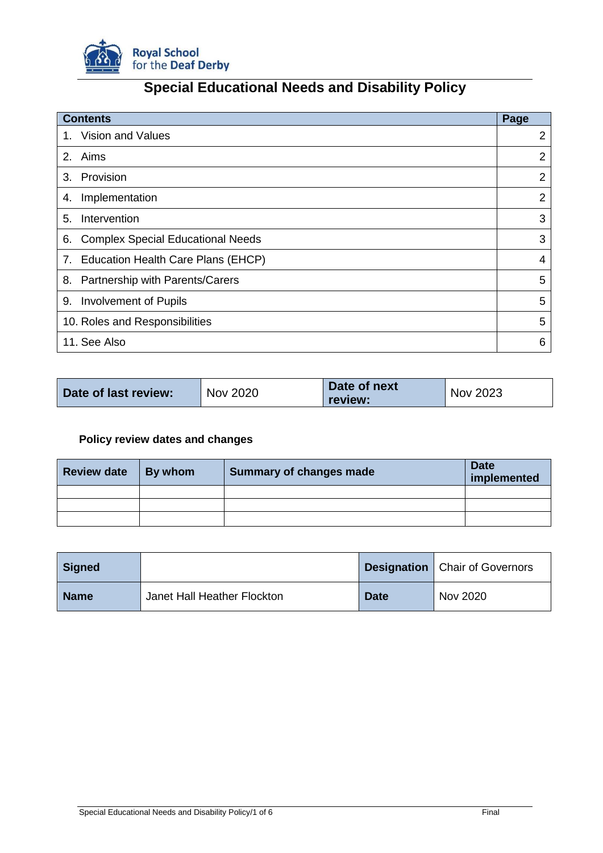

# **Special Educational Needs and Disability Policy**

| <b>Contents</b>                                | Page           |
|------------------------------------------------|----------------|
| <b>Vision and Values</b><br>1.                 | 2              |
| 2. Aims                                        | 2              |
| Provision<br>3.                                | $\overline{2}$ |
| Implementation<br>4.                           | 2              |
| Intervention<br>5.                             | 3              |
| <b>Complex Special Educational Needs</b><br>6. | 3              |
| 7. Education Health Care Plans (EHCP)          | 4              |
| Partnership with Parents/Carers<br>8.          | 5              |
| 9.<br><b>Involvement of Pupils</b>             | 5              |
| 10. Roles and Responsibilities                 | 5              |
| 11. See Also                                   | 6              |

| Date of last review: | <b>Nov 2020</b> | Date of next<br>review: | Nov 2023 |
|----------------------|-----------------|-------------------------|----------|
|----------------------|-----------------|-------------------------|----------|

## **Policy review dates and changes**

| <b>Review date</b> | By whom | <b>Summary of changes made</b> | <b>Date</b><br>implemented |
|--------------------|---------|--------------------------------|----------------------------|
|                    |         |                                |                            |
|                    |         |                                |                            |
|                    |         |                                |                            |

| <b>Signed</b> |                             |             | <b>Designation</b>   Chair of Governors |
|---------------|-----------------------------|-------------|-----------------------------------------|
| <b>Name</b>   | Janet Hall Heather Flockton | <b>Date</b> | Nov 2020                                |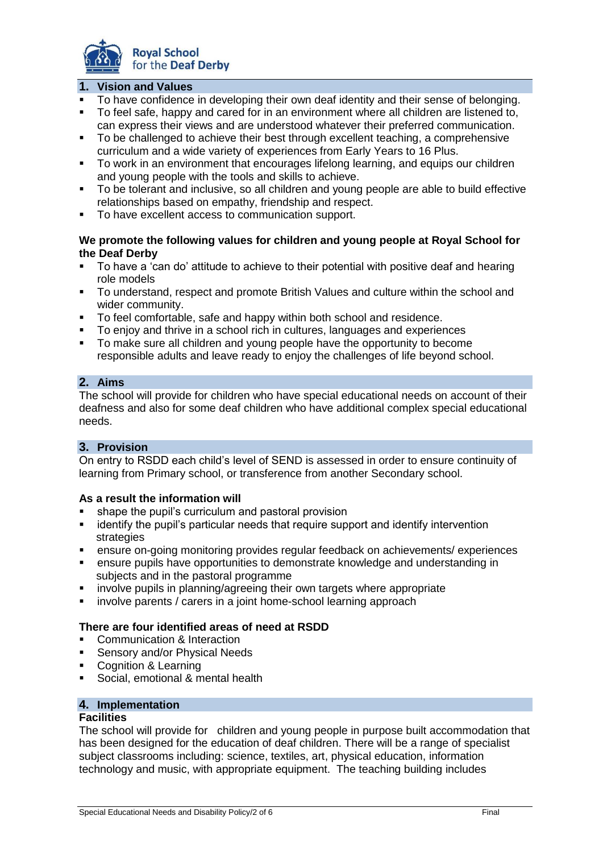

#### **1. Vision and Values**

- To have confidence in developing their own deaf identity and their sense of belonging.
- To feel safe, happy and cared for in an environment where all children are listened to, can express their views and are understood whatever their preferred communication.
- To be challenged to achieve their best through excellent teaching, a comprehensive curriculum and a wide variety of experiences from Early Years to 16 Plus.
- To work in an environment that encourages lifelong learning, and equips our children and young people with the tools and skills to achieve.
- To be tolerant and inclusive, so all children and young people are able to build effective relationships based on empathy, friendship and respect.
- To have excellent access to communication support.

#### **We promote the following values for children and young people at Royal School for the Deaf Derby**

- To have a 'can do' attitude to achieve to their potential with positive deaf and hearing role models
- To understand, respect and promote British Values and culture within the school and wider community.
- To feel comfortable, safe and happy within both school and residence.
- To enjoy and thrive in a school rich in cultures, languages and experiences
- To make sure all children and young people have the opportunity to become responsible adults and leave ready to enjoy the challenges of life beyond school.

#### **2. Aims**

The school will provide for children who have special educational needs on account of their deafness and also for some deaf children who have additional complex special educational needs.

#### **3. Provision**

On entry to RSDD each child's level of SEND is assessed in order to ensure continuity of learning from Primary school, or transference from another Secondary school.

#### **As a result the information will**

- shape the pupil's curriculum and pastoral provision
- **EXT** identify the pupil's particular needs that require support and identify intervention strategies
- ensure on-going monitoring provides regular feedback on achievements/ experiences
- ensure pupils have opportunities to demonstrate knowledge and understanding in subjects and in the pastoral programme
- involve pupils in planning/agreeing their own targets where appropriate
- involve parents / carers in a joint home-school learning approach

#### **There are four identified areas of need at RSDD**

- **Communication & Interaction**
- **Sensory and/or Physical Needs**
- Cognition & Learning
- **Social, emotional & mental health**

## **4. Implementation**

## **Facilities**

The school will provide for children and young people in purpose built accommodation that has been designed for the education of deaf children. There will be a range of specialist subject classrooms including: science, textiles, art, physical education, information technology and music, with appropriate equipment. The teaching building includes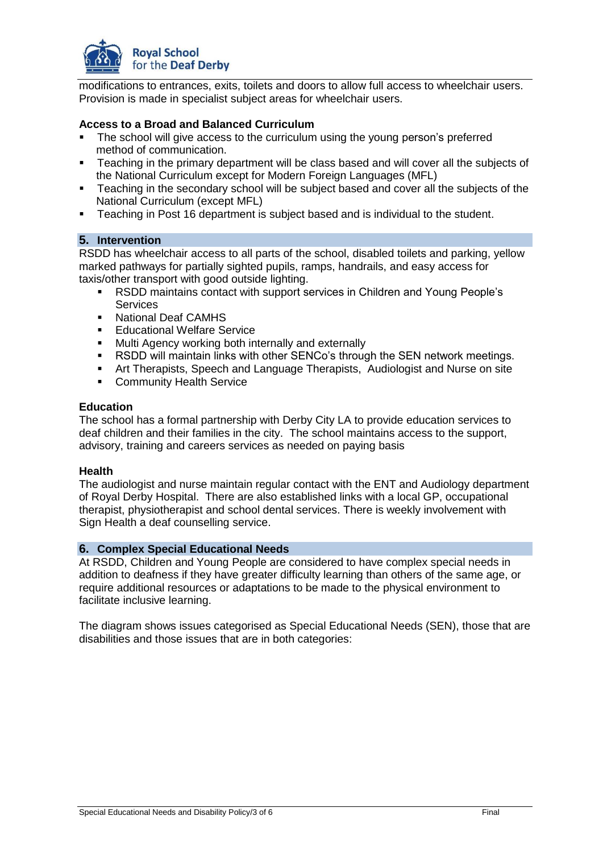

modifications to entrances, exits, toilets and doors to allow full access to wheelchair users. Provision is made in specialist subject areas for wheelchair users.

#### **Access to a Broad and Balanced Curriculum**

- The school will give access to the curriculum using the young person's preferred method of communication.
- **Teaching in the primary department will be class based and will cover all the subjects of** the National Curriculum except for Modern Foreign Languages (MFL)
- Teaching in the secondary school will be subject based and cover all the subjects of the National Curriculum (except MFL)
- Teaching in Post 16 department is subject based and is individual to the student.

#### **5. Intervention**

RSDD has wheelchair access to all parts of the school, disabled toilets and parking, yellow marked pathways for partially sighted pupils, ramps, handrails, and easy access for taxis/other transport with good outside lighting.

- RSDD maintains contact with support services in Children and Young People's **Services**
- **National Deaf CAMHS**
- **Educational Welfare Service**
- **Multi Agency working both internally and externally**
- RSDD will maintain links with other SENCo's through the SEN network meetings.
- Art Therapists, Speech and Language Therapists, Audiologist and Nurse on site
- **-** Community Health Service

#### **Education**

The school has a formal partnership with Derby City LA to provide education services to deaf children and their families in the city. The school maintains access to the support, advisory, training and careers services as needed on paying basis

#### **Health**

The audiologist and nurse maintain regular contact with the ENT and Audiology department of Royal Derby Hospital. There are also established links with a local GP, occupational therapist, physiotherapist and school dental services. There is weekly involvement with Sign Health a deaf counselling service.

#### **6. Complex Special Educational Needs**

At RSDD, Children and Young People are considered to have complex special needs in addition to deafness if they have greater difficulty learning than others of the same age, or require additional resources or adaptations to be made to the physical environment to facilitate inclusive learning.

The diagram shows issues categorised as Special Educational Needs (SEN), those that are disabilities and those issues that are in both categories: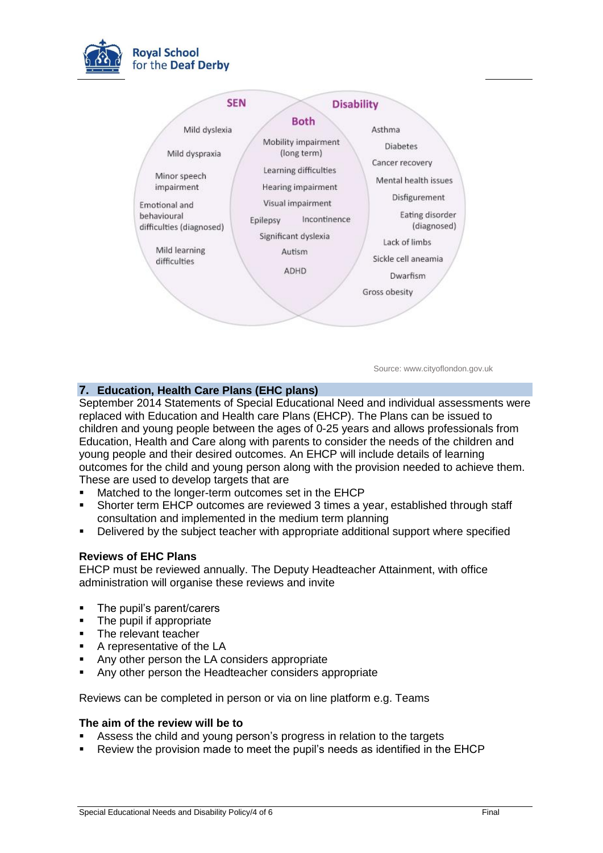



Source: www.cityoflondon.gov.uk

### **7. Education, Health Care Plans (EHC plans)**

September 2014 Statements of Special Educational Need and individual assessments were replaced with Education and Health care Plans (EHCP). The Plans can be issued to children and young people between the ages of 0-25 years and allows professionals from Education, Health and Care along with parents to consider the needs of the children and young people and their desired outcomes. An EHCP will include details of learning outcomes for the child and young person along with the provision needed to achieve them. These are used to develop targets that are

- Matched to the longer-term outcomes set in the EHCP
- Shorter term EHCP outcomes are reviewed 3 times a year, established through staff consultation and implemented in the medium term planning
- Delivered by the subject teacher with appropriate additional support where specified

#### **Reviews of EHC Plans**

EHCP must be reviewed annually. The Deputy Headteacher Attainment, with office administration will organise these reviews and invite

- The pupil's parent/carers
- The pupil if appropriate
- **The relevant teacher**
- A representative of the LA
- Any other person the LA considers appropriate
- Any other person the Headteacher considers appropriate

Reviews can be completed in person or via on line platform e.g. Teams

#### **The aim of the review will be to**

- Assess the child and young person's progress in relation to the targets
- Review the provision made to meet the pupil's needs as identified in the EHCP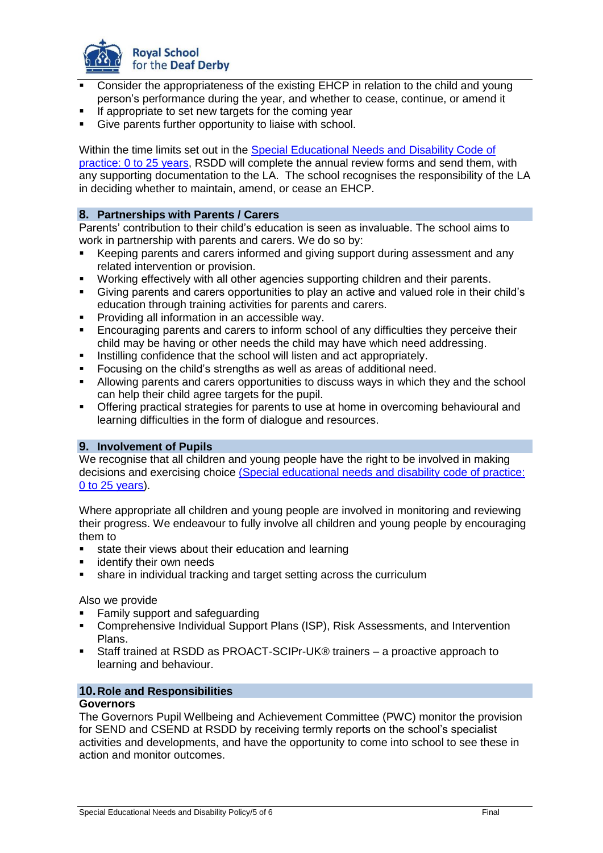

- Consider the appropriateness of the existing EHCP in relation to the child and young person's performance during the year, and whether to cease, continue, or amend it
- If appropriate to set new targets for the coming year
- Give parents further opportunity to liaise with school.

Within the time limits set out in the [Special Educational Needs and Disability Code of](https://www.gov.uk/government/uploads/system/uploads/attachment_data/file/398815/SEND_Code_of_Practice_January_2015.pdf)  [practice: 0 to 25 years,](https://www.gov.uk/government/uploads/system/uploads/attachment_data/file/398815/SEND_Code_of_Practice_January_2015.pdf) RSDD will complete the annual review forms and send them, with any supporting documentation to the LA. The school recognises the responsibility of the LA in deciding whether to maintain, amend, or cease an EHCP.

#### **8. Partnerships with Parents / Carers**

Parents' contribution to their child's education is seen as invaluable. The school aims to work in partnership with parents and carers. We do so by:

- Keeping parents and carers informed and giving support during assessment and any related intervention or provision.
- Working effectively with all other agencies supporting children and their parents.
- Giving parents and carers opportunities to play an active and valued role in their child's education through training activities for parents and carers.
- **Providing all information in an accessible way.**
- Encouraging parents and carers to inform school of any difficulties they perceive their child may be having or other needs the child may have which need addressing.
- Instilling confidence that the school will listen and act appropriately.
- Focusing on the child's strengths as well as areas of additional need.
- Allowing parents and carers opportunities to discuss ways in which they and the school can help their child agree targets for the pupil.
- Offering practical strategies for parents to use at home in overcoming behavioural and learning difficulties in the form of dialogue and resources.

#### **9. Involvement of Pupils**

We recognise that all children and young people have the right to be involved in making decisions and exercising choice [\(Special educational needs and disability code of practice:](https://www.gov.uk/government/uploads/system/uploads/attachment_data/file/398815/SEND_Code_of_Practice_January_2015.pdf)  [0 to 25 years\)](https://www.gov.uk/government/uploads/system/uploads/attachment_data/file/398815/SEND_Code_of_Practice_January_2015.pdf).

Where appropriate all children and young people are involved in monitoring and reviewing their progress. We endeavour to fully involve all children and young people by encouraging them to

- state their views about their education and learning
- **Example 1** identify their own needs
- share in individual tracking and target setting across the curriculum

Also we provide

- Family support and safeguarding
- Comprehensive Individual Support Plans (ISP), Risk Assessments, and Intervention Plans.
- Staff trained at RSDD as PROACT-SCIPr-UK® trainers a proactive approach to learning and behaviour.

#### **10.Role and Responsibilities**

#### **Governors**

The Governors Pupil Wellbeing and Achievement Committee (PWC) monitor the provision for SEND and CSEND at RSDD by receiving termly reports on the school's specialist activities and developments, and have the opportunity to come into school to see these in action and monitor outcomes.